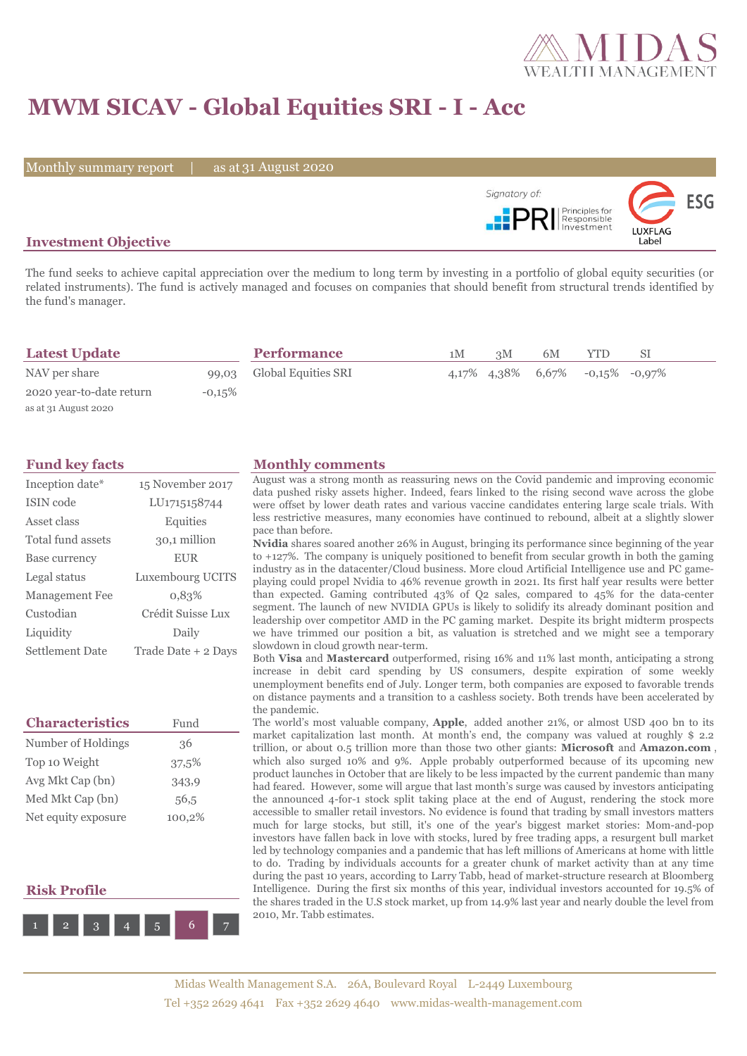

## **MWM SICAV - Global Equities SRI - I - Acc**

Monthly summary report | as at 31 August 2020



### **Investment Objective**

The fund seeks to achieve capital appreciation over the medium to long term by investing in a portfolio of global equity securities (or related instruments). The fund is actively managed and focuses on companies that should benefit from structural trends identified by the fund's manager.

| <b>Latest Update</b>     |           | <b>Performance</b>        | 1M | 3M | 6M | YTD.                                           | SI |  |
|--------------------------|-----------|---------------------------|----|----|----|------------------------------------------------|----|--|
| NAV per share            |           | 99,03 Global Equities SRI |    |    |    | $4.17\%$ $4.38\%$ $6.67\%$ $-0.15\%$ $-0.97\%$ |    |  |
| 2020 year-to-date return | $-0.15\%$ |                           |    |    |    |                                                |    |  |
| as at 31 August 2020     |           |                           |    |    |    |                                                |    |  |

| Inception date*       | 15 November 2017    |
|-----------------------|---------------------|
| ISIN code             | LU1715158744        |
| Asset class           | Equities            |
| Total fund assets     | 30,1 million        |
| Base currency         | <b>EUR</b>          |
| Legal status          | Luxembourg UCITS    |
| <b>Management Fee</b> | 0.83%               |
| Custodian             | Crédit Suisse Lux   |
| Liquidity             | Daily               |
| Settlement Date       | Trade Date + 2 Days |

| <b>Characteristics</b> | Fund   |
|------------------------|--------|
| Number of Holdings     | 36     |
| Top 10 Weight          | 37,5%  |
| Avg Mkt Cap (bn)       | 343,9  |
| Med Mkt Cap (bn)       | 56,5   |
| Net equity exposure    | 100,2% |

### **Risk Profile**



#### **Fund key facts Monthly comments**

August was a strong month as reassuring news on the Covid pandemic and improving economic data pushed risky assets higher. Indeed, fears linked to the rising second wave across the globe were offset by lower death rates and various vaccine candidates entering large scale trials. With less restrictive measures, many economies have continued to rebound, albeit at a slightly slower pace than before.

**Nvidia** shares soared another 26% in August, bringing its performance since beginning of the year to +127%. The company is uniquely positioned to benefit from secular growth in both the gaming industry as in the datacenter/Cloud business. More cloud Artificial Intelligence use and PC gameplaying could propel Nvidia to 46% revenue growth in 2021. Its first half year results were better than expected. Gaming contributed 43% of Q2 sales, compared to 45% for the data-center segment. The launch of new NVIDIA GPUs is likely to solidify its already dominant position and leadership over competitor AMD in the PC gaming market. Despite its bright midterm prospects we have trimmed our position a bit, as valuation is stretched and we might see a temporary slowdown in cloud growth near-term.

Both **Visa** and **Mastercard** outperformed, rising 16% and 11% last month, anticipating a strong increase in debit card spending by US consumers, despite expiration of some weekly unemployment benefits end of July. Longer term, both companies are exposed to favorable trends on distance payments and a transition to a cashless society. Both trends have been accelerated by the pandemic.

The world's most valuable company, **Apple**, added another 21%, or almost USD 400 bn to its market capitalization last month. At month's end, the company was valued at roughly \$ 2.2 trillion, or about 0.5 trillion more than those two other giants: **Microsoft** and **Amazon.com** , which also surged 10% and 9%. Apple probably outperformed because of its upcoming new product launches in October that are likely to be less impacted by the current pandemic than many had feared. However, some will argue that last month's surge was caused by investors anticipating the announced 4-for-1 stock split taking place at the end of August, rendering the stock more accessible to smaller retail investors. No evidence is found that trading by small investors matters much for large stocks, but still, it's one of the year's biggest market stories: Mom-and-pop investors have fallen back in love with stocks, lured by free trading apps, a resurgent bull market led by technology companies and a pandemic that has left millions of Americans at home with little to do. Trading by individuals accounts for a greater chunk of market activity than at any time during the past 10 years, according to Larry Tabb, head of market-structure research at Bloomberg Intelligence. During the first six months of this year, individual investors accounted for 19.5% of the shares traded in the U.S stock market, up from 14.9% last year and nearly double the level from 2010, Mr. Tabb estimates.